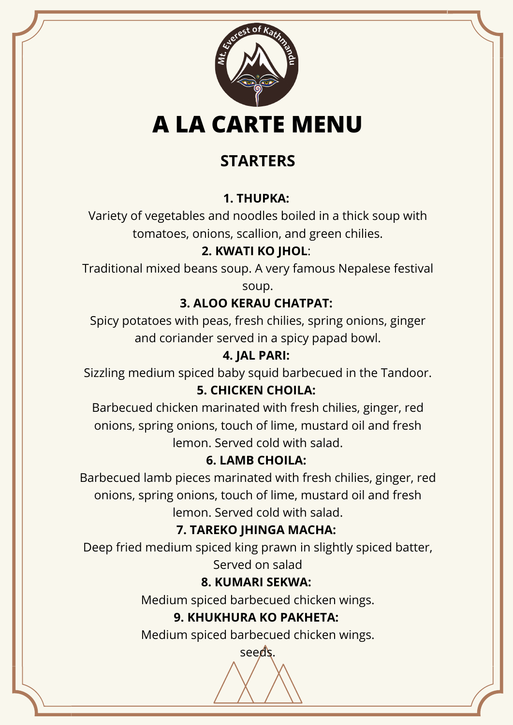

# **STARTERS**

## **1. THUPKA:**

Variety of vegetables and noodles boiled in a thick soup with tomatoes, onions, scallion, and green chilies.

## **2. KWATI KO JHOL**:

Traditional mixed beans soup. A very famous Nepalese festival

soup.

## **3. ALOO KERAU CHATPAT:**

Spicy potatoes with peas, fresh chilies, spring onions, ginger and coriander served in a spicy papad bowl.

### **4. JAL PARI:**

Sizzling medium spiced baby squid barbecued in the Tandoor.

### **5. CHICKEN CHOILA:**

Barbecued chicken marinated with fresh chilies, ginger, red onions, spring onions, touch of lime, mustard oil and fresh lemon. Served cold with salad.

# **6. LAMB CHOILA:**

Barbecued lamb pieces marinated with fresh chilies, ginger, red onions, spring onions, touch of lime, mustard oil and fresh lemon. Served cold with salad.

# **7. TAREKO JHINGA MACHA:**

Deep fried medium spiced king prawn in slightly spiced batter, Served on salad

# **8. KUMARI SEKWA:**

Medium spiced barbecued chicken wings.

### **9. KHUKHURA KO PAKHETA:**

Medium spiced barbecued chicken wings.

seeds.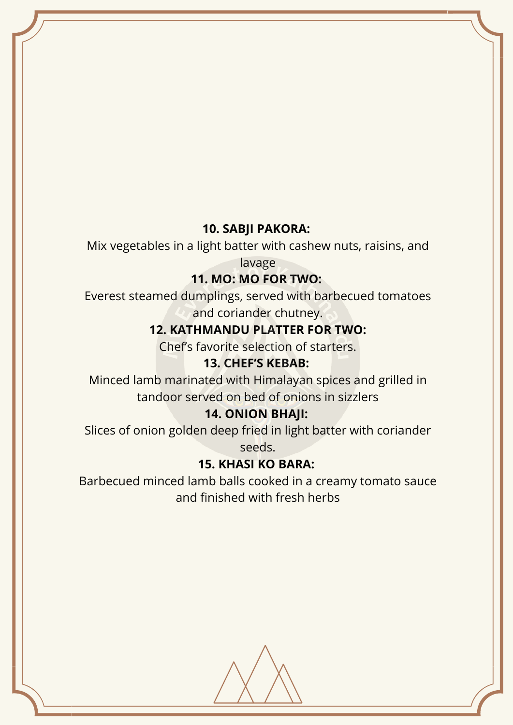#### **10. SABJI PAKORA:**

Mix vegetables in a light batter with cashew nuts, raisins, and

lavage

#### **11. MO: MO FOR TWO:**

Everest steamed dumplings, served with barbecued tomatoes and coriander chutney.

#### **12. KATHMANDU PLATTER FOR TWO:**

Chef's favorite selection of starters.

#### **13. CHEF'S KEBAB:**

Minced lamb marinated with Himalayan spices and grilled in tandoor served on bed of onions in sizzlers

#### **14. ONION BHAJI:**

Slices of onion golden deep fried in light batter with coriander seeds.

#### **15. KHASI KO BARA:**

Barbecued minced lamb balls cooked in a creamy tomato sauce and finished with fresh herbs

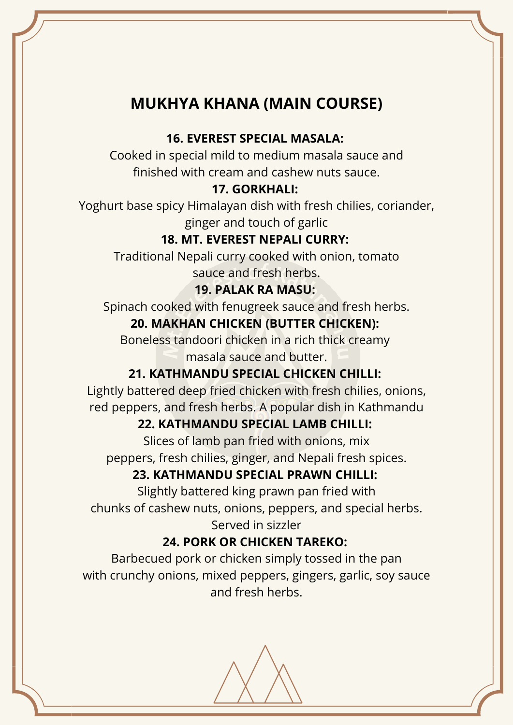# **MUKHYA KHANA (MAIN COURSE)**

#### **16. EVEREST SPECIAL MASALA:**

Cooked in special mild to medium masala sauce and finished with cream and cashew nuts sauce.

#### **17. GORKHALI:**

Yoghurt base spicy Himalayan dish with fresh chilies, coriander, ginger and touch of garlic

### **18. MT. EVEREST NEPALI CURRY:**

Traditional Nepali curry cooked with onion, tomato sauce and fresh herbs.

#### **19. PALAK RA MASU:**

Spinach cooked with fenugreek sauce and fresh herbs.

### **20. MAKHAN CHICKEN (BUTTER CHICKEN):**

Boneless tandoori chicken in a rich thick creamy masala sauce and butter.

### **21. KATHMANDU SPECIAL CHICKEN CHILLI:**

Lightly battered deep fried chicken with fresh chilies, onions, red peppers, and fresh herbs. A popular dish in Kathmandu

### **22. KATHMANDU SPECIAL LAMB CHILLI:**

Slices of lamb pan fried with onions, mix peppers, fresh chilies, ginger, and Nepali fresh spices.

### **23. KATHMANDU SPECIAL PRAWN CHILLI:**

Slightly battered king prawn pan fried with chunks of cashew nuts, onions, peppers, and special herbs. Served in sizzler

### **24. PORK OR CHICKEN TAREKO:**

Barbecued pork or chicken simply tossed in the pan with crunchy onions, mixed peppers, gingers, garlic, soy sauce and fresh herbs.

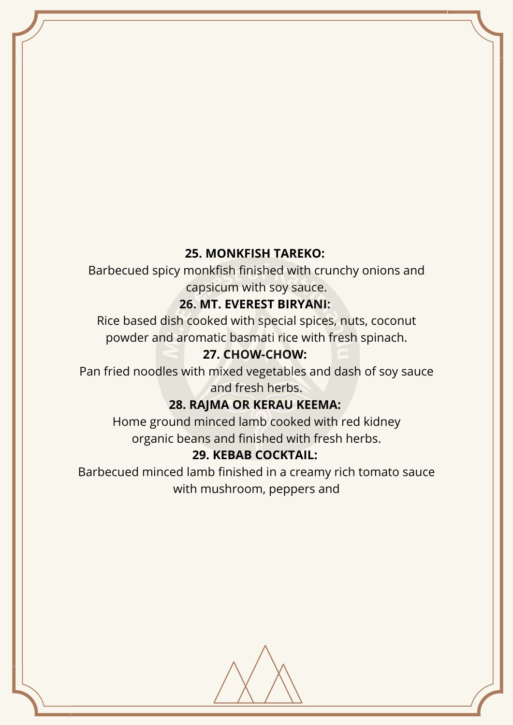#### **25. MONKFISH TAREKO:**

Barbecued spicy monkfish finished with crunchy onions and capsicum with soy sauce.

#### **26. MT. EVEREST BIRYANI:**

Rice based dish cooked with special spices, nuts, coconut powder and aromatic basmati rice with fresh spinach.

#### **27. CHOW-CHOW:**

Pan fried noodles with mixed vegetables and dash of soy sauce and fresh herbs.

### **28. RAJMA OR KERAU KEEMA:**

Home ground minced lamb cooked with red kidney organic beans and finished with fresh herbs.

#### **29. KEBAB COCKTAIL:**

Barbecued minced lamb finished in a creamy rich tomato sauce with mushroom, peppers and

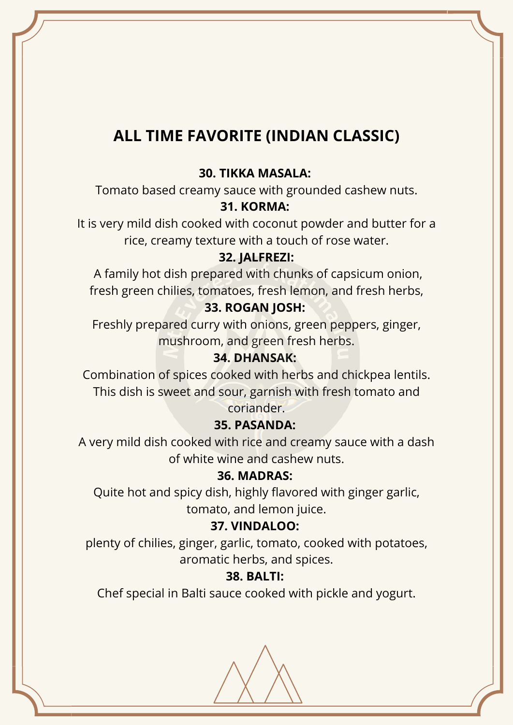# **ALL TIME FAVORITE (INDIAN CLASSIC)**

#### **30. TIKKA MASALA:**

Tomato based creamy sauce with grounded cashew nuts.

#### **31. KORMA:**

It is very mild dish cooked with coconut powder and butter for a rice, creamy texture with a touch of rose water.

#### **32. JALFREZI:**

A family hot dish prepared with chunks of capsicum onion, fresh green chilies, tomatoes, fresh lemon, and fresh herbs,

#### **33. ROGAN JOSH:**

Freshly prepared curry with onions, green peppers, ginger, mushroom, and green fresh herbs.

#### **34. DHANSAK:**

Combination of spices cooked with herbs and chickpea lentils. This dish is sweet and sour, garnish with fresh tomato and coriander.

#### **35. PASANDA:**

A very mild dish cooked with rice and creamy sauce with a dash of white wine and cashew nuts.

#### **36. MADRAS:**

Quite hot and spicy dish, highly flavored with ginger garlic, tomato, and lemon juice.

#### **37. VINDALOO:**

plenty of chilies, ginger, garlic, tomato, cooked with potatoes, aromatic herbs, and spices.

#### **38. BALTI:**

Chef special in Balti sauce cooked with pickle and yogurt.

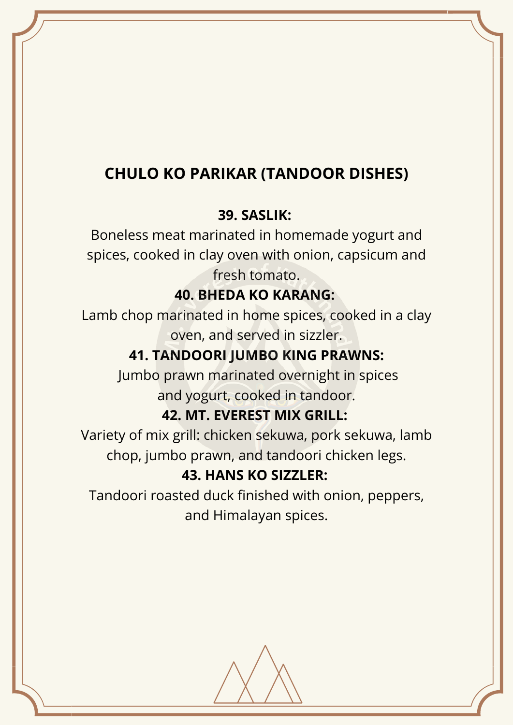# **CHULO KO PARIKAR (TANDOOR DISHES)**

### **39. SASLIK:**

Boneless meat marinated in homemade yogurt and spices, cooked in clay oven with onion, capsicum and fresh tomato.

### **40. BHEDA KO KARANG:**

Lamb chop marinated in home spices, cooked in a clay oven, and served in sizzler.

# **41. TANDOORI JUMBO KING PRAWNS:**

Jumbo prawn marinated overnight in spices and yogurt, cooked in tandoor.

### **42. MT. EVEREST MIX GRILL:**

Variety of mix grill: chicken sekuwa, pork sekuwa, lamb chop, jumbo prawn, and tandoori chicken legs.

### **43. HANS KO SIZZLER:**

Tandoori roasted duck finished with onion, peppers, and Himalayan spices.

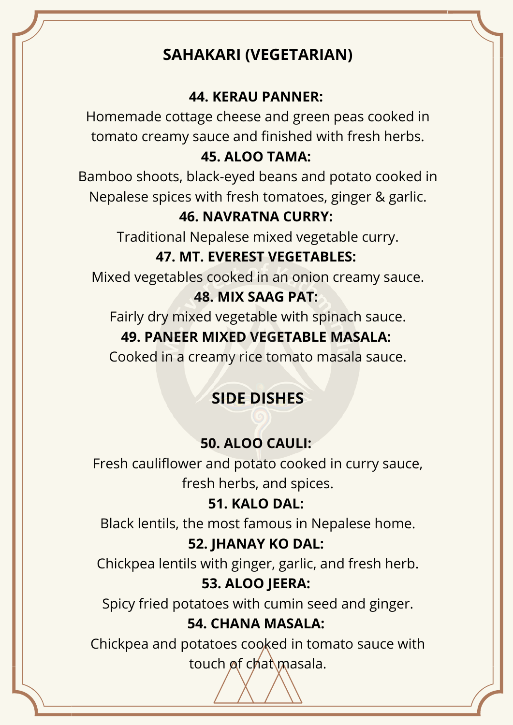# **SAHAKARI (VEGETARIAN)**

### **44. KERAU PANNER:**

Homemade cottage cheese and green peas cooked in tomato creamy sauce and finished with fresh herbs.

### **45. ALOO TAMA:**

Bamboo shoots, black-eyed beans and potato cooked in Nepalese spices with fresh tomatoes, ginger & garlic.

### **46. NAVRATNA CURRY:**

Traditional Nepalese mixed vegetable curry.

## **47. MT. EVEREST VEGETABLES:**

Mixed vegetables cooked in an onion creamy sauce.

### **48. MIX SAAG PAT:**

Fairly dry mixed vegetable with spinach sauce.

### **49. PANEER MIXED VEGETABLE MASALA:**

Cooked in a creamy rice tomato masala sauce.

# **SIDE DISHES**

### **50. ALOO CAULI:**

Fresh cauliflower and potato cooked in curry sauce, fresh herbs, and spices.

### **51. KALO DAL:**

Black lentils, the most famous in Nepalese home.

### **52. JHANAY KO DAL:**

Chickpea lentils with ginger, garlic, and fresh herb. **53. ALOO JEERA:**

Spicy fried potatoes with cumin seed and ginger.

### **54. CHANA MASALA:**

Chickpea and potatoes cooked in tomato sauce with touch of chat masala.